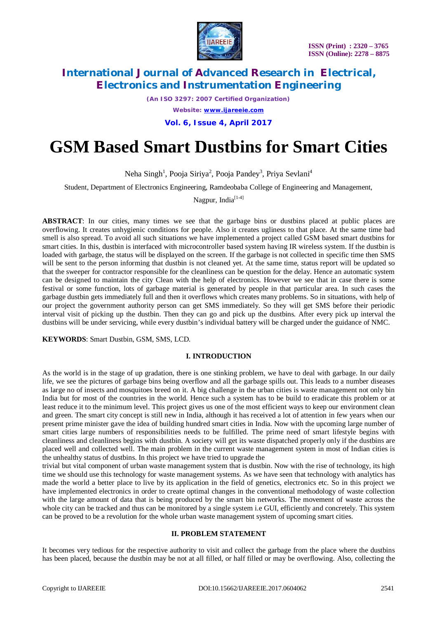

*(An ISO 3297: 2007 Certified Organization)*

*Website: [www.ijareeie.com](http://www.ijareeie.com)*

**Vol. 6, Issue 4, April 2017**

# **GSM Based Smart Dustbins for Smart Cities**

Neha Singh<sup>1</sup>, Pooja Siriya<sup>2</sup>, Pooja Pandey<sup>3</sup>, Priya Sevlani<sup>4</sup>

Student, Department of Electronics Engineering, Ramdeobaba College of Engineering and Management,

Nagpur, India $^{[1-4]}$ 

**ABSTRACT**: In our cities, many times we see that the garbage bins or dustbins placed at public places are overflowing. It creates unhygienic conditions for people. Also it creates ugliness to that place. At the same time bad smell is also spread. To avoid all such situations we have implemented a project called GSM based smart dustbins for smart cities. In this, dustbin is interfaced with microcontroller based system having IR wireless system. If the dustbin is loaded with garbage, the status will be displayed on the screen. If the garbage is not collected in specific time then SMS will be sent to the person informing that dustbin is not cleaned yet. At the same time, status report will be updated so that the sweeper for contractor responsible for the cleanliness can be question for the delay. Hence an automatic system can be designed to maintain the city Clean with the help of electronics. However we see that in case there is some festival or some function, lots of garbage material is generated by people in that particular area. In such cases the garbage dustbin gets immediately full and then it overflows which creates many problems. So in situations, with help of our project the government authority person can get SMS immediately. So they will get SMS before their periodic interval visit of picking up the dustbin. Then they can go and pick up the dustbins. After every pick up interval the dustbins will be under servicing, while every dustbin's individual battery will be charged under the guidance of NMC.

**KEYWORDS**: Smart Dustbin, GSM, SMS, LCD.

## **I. INTRODUCTION**

As the world is in the stage of up gradation, there is one stinking problem, we have to deal with garbage. In our daily life, we see the pictures of garbage bins being overflow and all the garbage spills out. This leads to a number diseases as large no of insects and mosquitoes breed on it. A big challenge in the urban cities is waste management not only bin India but for most of the countries in the world. Hence such a system has to be build to eradicate this problem or at least reduce it to the minimum level. This project gives us one of the most efficient ways to keep our environment clean and green. The smart city concept is still new in India, although it has received a lot of attention in few years when our present prime minister gave the idea of building hundred smart cities in India. Now with the upcoming large number of smart cities large numbers of responsibilities needs to be fulfilled. The prime need of smart lifestyle begins with cleanliness and cleanliness begins with dustbin. A society will get its waste dispatched properly only if the dustbins are placed well and collected well. The main problem in the current waste management system in most of Indian cities is the unhealthy status of dustbins. In this project we have tried to upgrade the

trivial but vital component of urban waste management system that is dustbin. Now with the rise of technology, its high time we should use this technology for waste management systems. As we have seen that technology with analytics has made the world a better place to live by its application in the field of genetics, electronics etc. So in this project we have implemented electronics in order to create optimal changes in the conventional methodology of waste collection with the large amount of data that is being produced by the smart bin networks. The movement of waste across the whole city can be tracked and thus can be monitored by a single system i.e GUI, efficiently and concretely. This system can be proved to be a revolution for the whole urban waste management system of upcoming smart cities.

#### **II. PROBLEM STATEMENT**

It becomes very tedious for the respective authority to visit and collect the garbage from the place where the dustbins has been placed, because the dustbin may be not at all filled, or half filled or may be overflowing. Also, collecting the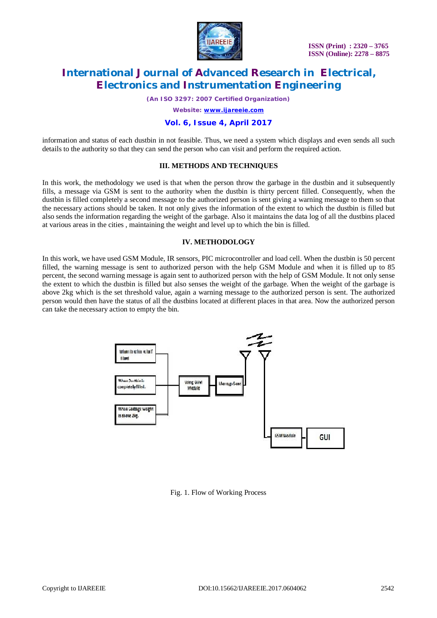

*(An ISO 3297: 2007 Certified Organization)*

*Website: [www.ijareeie.com](http://www.ijareeie.com)*

### **Vol. 6, Issue 4, April 2017**

information and status of each dustbin in not feasible. Thus, we need a system which displays and even sends all such details to the authority so that they can send the person who can visit and perform the required action.

#### **III. METHODS AND TECHNIQUES**

In this work, the methodology we used is that when the person throw the garbage in the dustbin and it subsequently fills, a message via GSM is sent to the authority when the dustbin is thirty percent filled. Consequently, when the dustbin is filled completely a second message to the authorized person is sent giving a warning message to them so that the necessary actions should be taken. It not only gives the information of the extent to which the dustbin is filled but also sends the information regarding the weight of the garbage. Also it maintains the data log of all the dustbins placed at various areas in the cities , maintaining the weight and level up to which the bin is filled.

#### **IV. METHODOLOGY**

In this work, we have used GSM Module, IR sensors, PIC microcontroller and load cell. When the dustbin is 50 percent filled, the warning message is sent to authorized person with the help GSM Module and when it is filled up to 85 percent, the second warning message is again sent to authorized person with the help of GSM Module. It not only sense the extent to which the dustbin is filled but also senses the weight of the garbage. When the weight of the garbage is above 2kg which is the set threshold value, again a warning message to the authorized person is sent. The authorized person would then have the status of all the dustbins located at different places in that area. Now the authorized person can take the necessary action to empty the bin.



Fig. 1. Flow of Working Process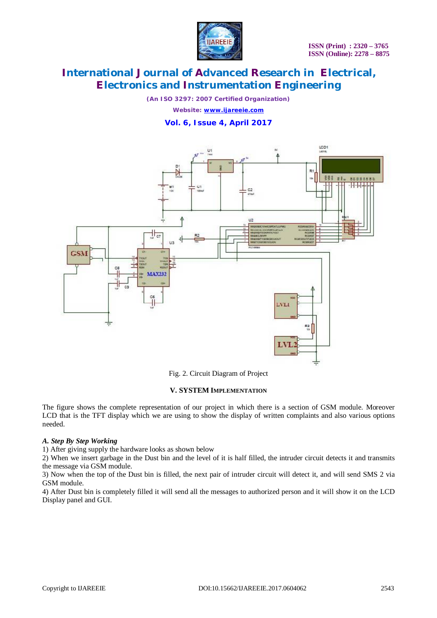

*(An ISO 3297: 2007 Certified Organization)*

*Website: [www.ijareeie.com](http://www.ijareeie.com)*

**Vol. 6, Issue 4, April 2017**



Fig. 2. Circuit Diagram of Project

#### **V. SYSTEM IMPLEMENTATION**

The figure shows the complete representation of our project in which there is a section of GSM module. Moreover LCD that is the TFT display which we are using to show the display of written complaints and also various options needed.

## *A. Step By Step Working*

1) After giving supply the hardware looks as shown below

2) When we insert garbage in the Dust bin and the level of it is half filled, the intruder circuit detects it and transmits the message via GSM module.

3) Now when the top of the Dust bin is filled, the next pair of intruder circuit will detect it, and will send SMS 2 via GSM module.

4) After Dust bin is completely filled it will send all the messages to authorized person and it will show it on the LCD Display panel and GUI.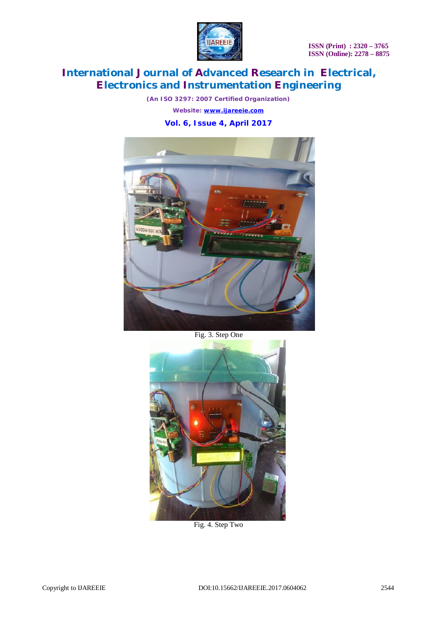

**ISSN (Print) : 2320 – 3765 ISSN (Online): 2278 – 8875**

# **International Journal of Advanced Research in Electrical, Electronics and Instrumentation Engineering**

*(An ISO 3297: 2007 Certified Organization) Website: [www.ijareeie.com](http://www.ijareeie.com)*





Fig. 3. Step One



Fig. 4. Step Two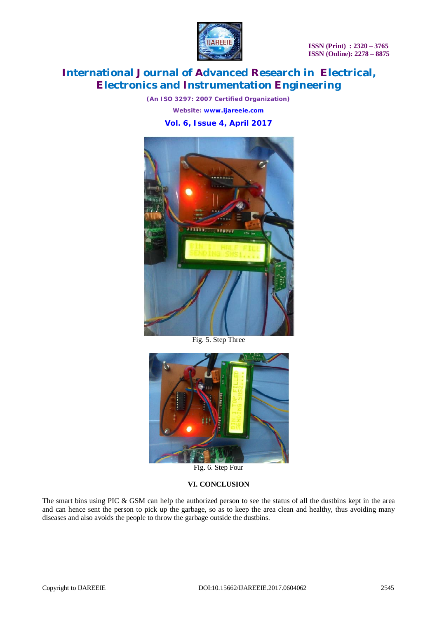

*(An ISO 3297: 2007 Certified Organization)*

*Website: [www.ijareeie.com](http://www.ijareeie.com)*

**Vol. 6, Issue 4, April 2017**



Fig. 5. Step Three



Fig. 6. Step Four

## **VI. CONCLUSION**

The smart bins using PIC & GSM can help the authorized person to see the status of all the dustbins kept in the area and can hence sent the person to pick up the garbage, so as to keep the area clean and healthy, thus avoiding many diseases and also avoids the people to throw the garbage outside the dustbins.